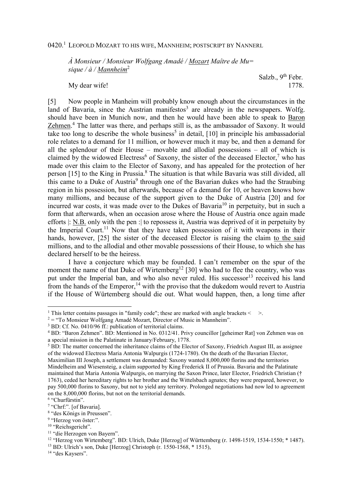## 0420.<sup>1</sup> Leopold Mozart to his wife, Mannheim; postscript by Nannerl

*À Monsieur / Monsieur Wolfgang Amadé / Mozart Maître de Mu= sique / à / Mannheim*<sup>2</sup>

Salzb., 9<sup>th</sup> Febr. My dear wife! 1778.

[5] Now people in Manheim will probably know enough about the circumstances in the land of Bavaria, since the Austrian manifestos<sup>3</sup> are already in the newspapers. Wolfg. should have been in Munich now, and then he would have been able to speak to Baron Zehmen.<sup>4</sup> The latter was there, and perhaps still is, as the ambassador of Saxony. It would take too long to describe the whole business<sup>5</sup> in detail,  $[10]$  in principle his ambassadorial role relates to a demand for 11 million, or however much it may be, and then a demand for all the splendour of their House – movable and allodial possessions – all of which is claimed by the widowed Electress<sup>6</sup> of Saxony, the sister of the deceased Elector,<sup>7</sup> who has made over this claim to the Elector of Saxony, and has appealed for the protection of her person [15] to the King in Prussia.<sup>8</sup> The situation is that while Bavaria was still divided, all this came to a Duke of Austria<sup>9</sup> through one of the Bavarian dukes who had the Straubing region in his possession, but afterwards, because of a demand for 10, or heaven knows how many millions, and because of the support given to the Duke of Austria [20] and for incurred war costs, it was made over to the Dukes of Bavaria<sup>10</sup> in perpetuity, but in such a form that afterwards, when an occasion arose where the House of Austria once again made efforts |: N.B. only with the pen :| to repossess it, Austria was deprived of it in perpetuity by the Imperial Court.<sup>11</sup> Now that they have taken possession of it with weapons in their hands, however, [25] the sister of the deceased Elector is raising the claim to the said millions, and to the allodial and other movable possessions of their House, to which she has declared herself to be the heiress.

I have a conjecture which may be founded. I can't remember on the spur of the moment the name of that Duke of Wirtemberg<sup>12</sup> [30] who had to flee the country, who was put under the Imperial ban, and who also never ruled. His successor<sup>13</sup> received his land from the hands of the Emperor,  $14$  with the proviso that the dukedom would revert to Austria if the House of Würtemberg should die out. What would happen, then, a long time after

 $\overline{a}$ 

<sup>&</sup>lt;sup>1</sup> This letter contains passages in "family code"; these are marked with angle brackets  $\leq$  >.

 $2 =$  "To Monsieur Wolfgang Amadé Mozart, Director of Music in Mannheim".

<sup>&</sup>lt;sup>3</sup> BD: Cf. No. 0410/96 ff.: publication of territorial claims.

<sup>&</sup>lt;sup>4</sup> BD: "Baron Zehmen". BD: Mentioned in No. 0312/41. Privy councillor [geheimer Rat] von Zehmen was on a special mission in the Palatinate in January/February, 1778.

 $<sup>5</sup>$  BD: The matter concerned the inheritance claims of the Elector of Saxony, Friedrich August III, as assignee</sup> of the widowed Electress Maria Antonia Walpurgis (1724-1780). On the death of the Bavarian Elector, Maximilian III Joseph, a settlement was demanded: Saxony wanted 8,000,000 florins and the territories

Mindelheim and Wiesensteig, a claim supported by King Frederick II of Prussia. Bavaria and the Palatinate maintained that Maria Antonia Walpurgis, on marrying the Saxon Prince, later Elector, Friedrich Christian († 1763), ceded her hereditary rights to her brother and the Wittelsbach agnates; they were prepared, however, to pay 500,000 florins to Saxony, but not to yield any territory. Prolonged negotiations had now led to agreement on the 8,000,000 florins, but not on the territorial demands.

<sup>6</sup> "Churfürstin".

<sup>&</sup>lt;sup>7</sup> "Chrf:". [of Bavaria].

<sup>8</sup> "des Königs in Preussen".

<sup>&</sup>lt;sup>9</sup> "Herzog von öster:".

<sup>&</sup>lt;sup>10</sup> "Reichsgericht".

<sup>&</sup>lt;sup>11</sup> "die Herzogen von Bayern".

<sup>&</sup>lt;sup>12</sup> "Herzog von Wirtemberg". BD: Ulrich, Duke [Herzog] of Württemberg (r. 1498-1519, 1534-1550; \* 1487).

<sup>13</sup> BD: Ulrich's son, Duke [Herzog] Christoph (r. 1550-1568, \* 1515),

<sup>14</sup> "des Kaysers".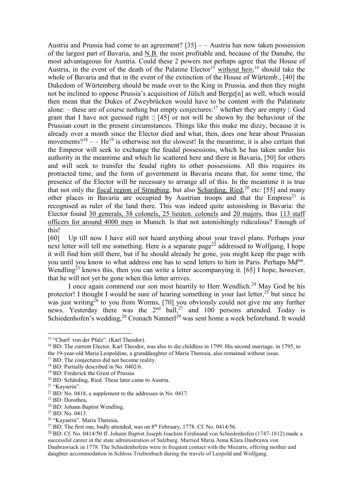Austria and Prussia had come to an agreement?  $[35]$  – – Austria has now taken possession of the largest part of Bavaria, and N.B. the most profitable and, because of the Danube, the most advantageous for Austria. Could these 2 powers not perhaps agree that the House of Austria, in the event of the death of the Palatine Elector<sup>15</sup> without heir,<sup>16</sup> should take the whole of Bavaria and that in the event of the extinction of the House of Würtemb., [40] the Dukedom of Würtemberg should be made over to the King in Prussia, and then they might not be inclined to oppose Prussia's acquisition of Jülich and Berge[n] as well, which would then mean that the Dukes of Zweybrücken would have to be content with the Palatinate alone: – these are of course nothing but empty conjectures:<sup>17</sup> whether they are empty  $\mid$ : God grant that I have not guessed right :| [45] or not will be shown by the behaviour of the Prussian court in the present circumstances. Things like this make me dizzy, because it is already over a month since the Elector died and what, then, does one hear about Prussian movements?<sup>18</sup> – – He<sup>19</sup> is otherwise not the slowest! In the meantime, it is also certain that the Emperor will seek to exchange the feudal possessions, which he has taken under his authority in the meantime and which lie scattered here and there in Bavaria, [50] for others and will seek to transfer the feudal rights to other possessions. All this requires its protracted time, and the form of government in Bavaria means that, for some time, the presence of the Elector will be necessary to arrange all of this. In the meantime it is true that not only the fiscal region of Straubing, but also Scharding, Ried,  $^{20}$  etc: [55] and many other places in Bavaria are occupied by Austrian troops and that the  $Empress^{21}$  is recognised as ruler of the land there. This was indeed quite astonishing in Bavaria: the Elector found 30 generals, 38 colonels, 25 lieuten. colonels and 20 majors, thus 113 staff officers for around 4000 men in Munich. Is that not astonishingly ridiculous? Enough of this!

[60] Up till now I have still not heard anything about your travel plans. Perhaps your next letter will tell me something. Here is a separate page<sup>22</sup> addressed to Wolfgang, I hope it will find him still there, but if he should already be gone, you might keep the page with you until you know to what address one has to send letters to him in Paris. Perhaps Md<sup>me</sup>. Wendling<sup>23</sup> knows this, then you can write a letter accompanying it. [65] I hope, however, that he will not yet be gone when this letter arrives.

I once again commend our son most heartily to Herr Wendlich.<sup>24</sup> May God be his protector! I thought I would be sure of hearing something in your last letter,<sup>25</sup> but since he was just writing<sup>26</sup> to you from Worms, [70] you obviously could not give me any further news. Yesterday there was the  $2<sup>nd</sup>$  ball,<sup>27</sup> and 100 persons attended. Today is Schiedenhofen's wedding,  $28$  Cronach Nannerl<sup>29</sup> was sent home a week beforehand. It would

 $\overline{a}$ 

<sup>15</sup> "Churf: von der Pfalz". (Karl Theodor).

<sup>&</sup>lt;sup>16</sup> BD: The current Elector, Karl Theodor, was also to die childless in 1799. His second marriage, in 1795, to the 19-year-old Maria Leopoldine, a granddaughter of Maria Theresia, also remained without issue.

<sup>&</sup>lt;sup>17</sup> BD: The conjectures did not become reality.

<sup>18</sup> BD: Partially described in No. 0402/6.

<sup>&</sup>lt;sup>19</sup> BD: Frederick the Great of Prussia.

<sup>20</sup> BD: Schärding, Ried. These later came to Austria.

<sup>&</sup>lt;sup>21</sup> "Kayserin".

 $22$  BD: No. 0418, a supplement to the addresses in No. 0417.

<sup>&</sup>lt;sup>23</sup> BD: Dorothea,

<sup>&</sup>lt;sup>24</sup> BD: Johann Baptist Wendling.

 $25$  BD: No. 0413.

<sup>26</sup> "Kayserin". Maria Theresia.

<sup>&</sup>lt;sup>27</sup> BD: The first one, badly attended, was on  $8<sup>th</sup>$  February, 1778. Cf. No. 0414/56.

<sup>28</sup> BD: Cf. No. 0414/50 ff. Johann Baptist Joseph Joachim Ferdinand von Schiedenhofen (1747-1812) made a successful career in the state administration of Salzburg. Married Maria Anna Klara Daubrawa von Daubrawiack in 1778. The Schiedenhofens were in frequent contact with the Mozarts, offering mother and daughter accommodation in Schloss Triebenbach during the travels of Leopold and Wolfgang.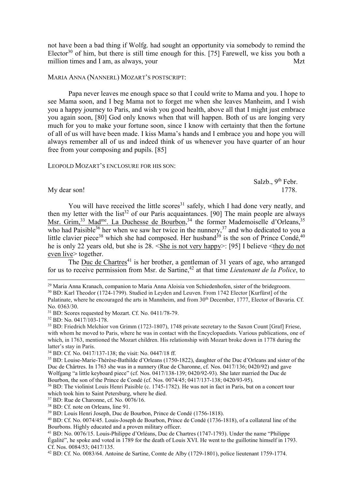not have been a bad thing if Wolfg. had sought an opportunity via somebody to remind the Elector<sup>30</sup> of him, but there is still time enough for this. [75] Farewell, we kiss you both a million times and I am, as always, your

## MARIA ANNA (NANNERL) MOZART'S POSTSCRIPT:

Papa never leaves me enough space so that I could write to Mama and you. I hope to see Mama soon, and I beg Mama not to forget me when she leaves Manheim, and I wish you a happy journey to Paris, and wish you good health, above all that I might just embrace you again soon, [80] God only knows when that will happen. Both of us are longing very much for you to make your fortune soon, since I know with certainty that then the fortune of all of us will have been made. I kiss Mama's hands and I embrace you and hope you will always remember all of us and indeed think of us whenever you have quarter of an hour free from your composing and pupils. [85]

LEOPOLD MOZART'S ENCLOSURE FOR HIS SON:

Salzb.,  $9<sup>th</sup>$  Febr. My dear son! 1778.

 $\overline{a}$ 

You will have received the little scores<sup>31</sup> safely, which I had done very neatly, and then my letter with the list<sup>32</sup> of our Paris acquaintances. [90] The main people are always Msr. Grim,<sup>33</sup> Mad<sup>me</sup>. La Duchesse de Bourbon,<sup>34</sup> the former Mademoiselle d'Orleans,<sup>35</sup> who had Paisible<sup>36</sup> her when we saw her twice in the nunnery,  $37$  and who dedicated to you a little clavier piece<sup>38</sup> which she had composed. Her husband<sup>39</sup> is the son of Prince Condé,<sup>40</sup> he is only 22 years old, but she is 28. <She is not very happy>: [95] I believe <they do not even live> together.

The Duc de Chartres<sup>41</sup> is her brother, a gentleman of 31 years of age, who arranged for us to receive permission from Msr. de Sartine,<sup>42</sup> at that time *Lieutenant de la Police*, to

<sup>&</sup>lt;sup>29</sup> Maria Anna Kranach, companion to Maria Anna Aloisia von Schiedenhofen, sister of the bridegroom.

<sup>30</sup> BD: Karl Theodor (1724-1799). Studied in Leyden and Leuven. From 1742 Elector [Kurfürst] of the Palatinate, where he encouraged the arts in Mannheim, and from 30<sup>th</sup> December, 1777, Elector of Bavaria. Cf. No. 0363/30.

<sup>&</sup>lt;sup>31</sup> BD: Scores requested by Mozart. Cf. No. 0411/78-79.

<sup>32</sup> BD: No. 0417/103-178.

<sup>33</sup> BD: Friedrich Melchior von Grimm (1723-1807), 1748 private secretary to the Saxon Count [Graf] Friese, with whom he moved to Paris, where he was in contact with the Encyclopaedists. Various publications, one of which, in 1763, mentioned the Mozart children. His relationship with Mozart broke down in 1778 during the latter's stay in Paris.

<sup>34</sup> BD: Cf. No. 0417/137-138; the visit: No. 0447/18 ff.

<sup>35</sup> BD: Louise-Marie-Thérèse-Bathilde d'Orleans (1750-1822), daughter of the Duc d'Orleans and sister of the Duc de Chârtres. In 1763 she was in a nunnery (Rue de Charonne, cf. Nos. 0417/136; 0420/92) and gave Wolfgang "a little keyboard piece" (cf. Nos. 0417/138-139; 0420/92-93). She later married the Duc de Bourbon, the son of the Prince de Condé (cf. Nos. 0074/45; 0417/137-138; 0420/93-95).

<sup>36</sup> BD: The violinist Louis Henri Paisible (c. 1745-1782). He was not in fact in Paris, but on a concert tour which took him to Saint Petersburg, where he died.

<sup>37</sup> BD: Rue de Charonne, cf. No. 0076/16.

<sup>&</sup>lt;sup>38</sup> BD: Cf. note on Orleans, line 91.

<sup>39</sup> BD: Louis Henri Joseph, Duc de Bourbon, Prince de Condé (1756-1818).

<sup>40</sup> BD: Cf. No. 0074/45. Louis-Joseph de Bourbon, Prince de Condé (1736-1818), of a collateral line of the Bourbons. Highly educated and a proven military officer.

<sup>41</sup> BD: No. 0076/15. Louis-Philippe d'Orléans, Duc de Chartres (1747-1793). Under the name "Philippe Égalité", he spoke and voted in 1789 for the death of Louis XVI. He went to the guillotine himself in 1793. Cf. Nos. 0084/53; 0417/135.

<sup>42</sup> BD: Cf. No. 0083/64. Antoine de Sartine, Comte de Alby (1729-1801), police lieutenant 1759-1774.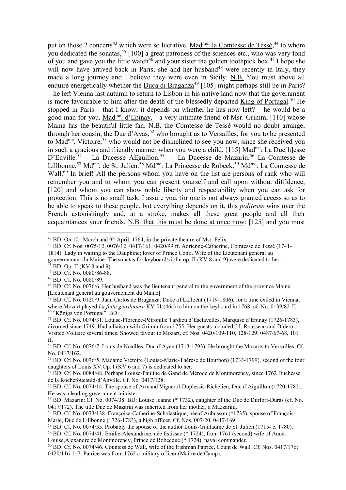put on those 2 concerts<sup>43</sup> which were so lucrative. Mad<sup>me</sup>: la Comtesse de Tessé,<sup>44</sup> to whom you dedicated the sonatas,  $45$  [100] a great patroness of the sciences etc., who was very fond of you and gave you the little watch<sup>46</sup> and your sister the golden toothpick box.<sup>47</sup> I hope she will now have arrived back in Paris; she and her husband<sup>48</sup> were recently in Italy, they made a long journey and I believe they were even in Sicily. N.B. You must above all enquire energetically whether the Duca di Braganza<sup>49</sup> [105] might perhaps still be in Paris? – he left Vienna last autumn to return to Lisbon in his native land now that the government is more favourable to him after the death of the blessedly departed King of Portugal.<sup>50</sup> He stopped in Paris – that I know; it depends on whether he has now left? – he would be a good man for you.  $Mad<sup>me</sup>$ . d'Epinay,<sup>51</sup> a very intimate friend of Msr. Grimm, [110] whose</u> Mama has the beautiful little fan. N.B. the Comtesse de Tessé would no doubt arrange, through her cousin, the Duc d'Ayas,  $\frac{52}{3}$  who brought us to Versailles, for you to be presented to Mad<sup>me</sup>. Victoire,<sup>53</sup> who would not be disinclined to see you now, since she received you in such a gracious and friendly manner when you were a child. [115] Mad<sup>me</sup>: La Duc[h]esse D'Enville.<sup>54</sup> – La Ducesse AEguillon.<sup>55</sup> – La Ducesse de Mazarin.<sup>56</sup> La Comtesse de Lillbonne.<sup>57</sup> Md<sup>me</sup>: de <u>St. Julien</u>.<sup>58</sup> Md<sup>me</sup>: La <u>Princesse de Robeck</u>.<sup>59</sup> Md<sup>me</sup>: <u>La Comtesse de</u>  $\overline{\text{Wall.}^{60}}$  In brief! All the persons whom you have on the list are persons of rank who will remember you and to whom you can present yourself and call upon without diffidence, [120] and whom you can show noble liberty and respectability when you can ask for protection. This is no small task, I assure you, for one is not always granted access so as to be able to speak to these people, but everything depends on it, this *politesse* wins over the French astonishingly and, at a stroke, makes all these great people and all their acquaintances your friends. N.B. that this must be done at once now: [125] and you must

 $45$  BD: Op. II (KV 8 and 9).

 $\overline{a}$  $43$  BD: On  $10<sup>th</sup>$  March and  $9<sup>th</sup>$  April, 1764, in the private theatre of Msr. Felix.

<sup>44</sup> BD: Cf. Nos. 0075/12, 0076/12; 0417/161; 0420/99 ff. Adrienne-Catherine, Comtesse de Tessé (1741-

<sup>1814).</sup> Lady in waiting to the Dauphine; lover of Prince Conti. Wife of the Lieutenant general au gouvernement du Maine. The sonatas for keyboard/violin op. II (KV 8 and 9) were dedicated to her.

<sup>46</sup> BD: Cf. No. 0080/86-88.

<sup>47</sup> BD: Cf. No. 0080/89.

<sup>48</sup> BD: Cf. No. 0076/6. Her husband was the lieutenant general to the government of the province Maine [Lieutenant general au gouvernement du Maine].

 $49$  BD: Cf. No. 0120/9. Juan Carlos de Braganza, Duke of Lafloënt (1719-1806), for a time exiled in Vienna, where Mozart played *La finta giardiniera* KV 51 (46a) to him on the keyboard in 1768; cf. No. 0139/82 ff. <sup>50</sup> "Königs von Portugal". BD: .

<sup>51</sup> BD: Cf. No. 0074/31. Louise-Florence-Pétronille Tardieu d'Esclavelles, Marquise d'Epinay (1726-1783), divorced since 1749. Had a liaison with Grimm from 1755. Her guests included J.J. Rousseau and Diderot. Visited Voltaire several times. Showed favour to Mozart, cf. Nos. 0420/109-110, 128-129; 0487/67-68, 101 ff.

<sup>52</sup> BD: Cf. No. 0076/7. Louis de Noailles, Duc d'Ayen (1713-1793). He brought the Mozarts to Versailles. Cf. No. 0417/162.

<sup>53</sup> BD: Cf. No. 0076/5. Madame Victoire (Louise-Marie-Thérèse de Bourbon) (1733-1799), second of the four daughters of Louis XV.Op. I (KV 6 and 7) is dedicated to her.

<sup>54</sup> BD: Cf. No. 0084/48. Perhaps Louise-Pauline de Gand de Mérode de Montmorency, since 1762 Duchesse de la Rochefoucauld-d'Anville. Cf. No. 0417/128.

<sup>55</sup> BD: Cf. No. 0074/14. The spouse of Armand Vignerol-Duplessis-Richelieu, Duc d'Aiguillon (1720-1782). He was a leading government minister.

<sup>56</sup> BD: Mazarin: Cf. No. 0074/38. BD: Louise Jeanne (\* 1732), daughter of the Duc de Durfort-Duras (cf. No. 0417/172). The title Duc de Mazarin was inherited from her mother, a Mazzarini.

<sup>57</sup> BD: Cf. No. 0073/138. Françoise-Catherine-Scholastique, née d'Aubusson (\*1735), spouse of François-Marie, Duc de Lillbonne (1726-1783), a high officer. Cf. Nos. 007/20; 0417/169.

<sup>58</sup> BD: Cf. No. 0074/35. Probably the spouse of the author Louis-Guillaume de St. Julien (1715- c. 1780).

<sup>59</sup> BD: Cf. No. 0074/41. Emilie-Alexandrine, née Estissac (\* 1724), from 1761 (second) wife of Anne-Louise,Alexandre de Montmorency, Prince de Robecque (\* 1724), naval commander.

<sup>60</sup> BD: Cf. No. 0074/46. Countess de Wall, wife of the Irishman Patrice, Count de Wall. Cf. Nos. 0417/176; 0420/116-117. Patrice was from 1762 a military officer (Maître de Camp).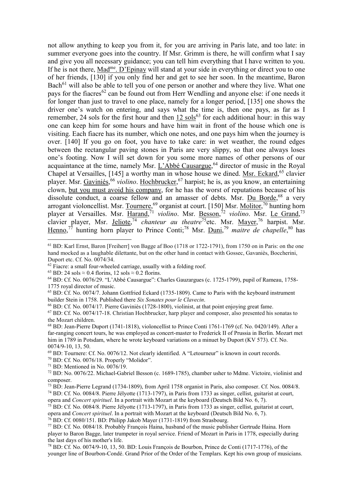not allow anything to keep you from it, for you are arriving in Paris late, and too late: in summer everyone goes into the country. If Msr. Grimm is there, he will confirm what I say and give you all necessary guidance; you can tell him everything that I have written to you. If he is not there, Mad<sup>me</sup>. D'Epinay will stand at your side in everything or direct you to one of her friends, [130] if you only find her and get to see her soon. In the meantime, Baron Bach<sup>61</sup> will also be able to tell you of one person or another and where they live. What one pays for the fiacres<sup>62</sup> can be found out from Herr Wendling and anyone else: if one needs it for longer than just to travel to one place, namely for a longer period, [135] one shows the driver one's watch on entering, and says what the time is, then one pays, as far as I remember, 24 sols for the first hour and then  $12 \text{ sols}^{63}$  for each additional hour: in this way one can keep him for some hours and have  $\overline{\text{him}}$  wait in front of the house which one is visiting. Each fiacre has its number, which one notes, and one pays him when the journey is over. [140] If you go on foot, you have to take care: in wet weather, the round edges between the rectangular paving stones in Paris are very slippy, so that one always loses one's footing. Now I will set down for you some more names of other persons of our acquaintance at the time, namely Msr. L'Abbé Causargue,<sup>64</sup> director of music in the Royal Chapel at Versailles, [145] a worthy man in whose house we dined. Msr. Eckard,<sup>65</sup> clavier player. Msr. Gaviniés,<sup>66</sup> *violino*. Hochbrucker,<sup>67</sup> harpist; he is, as you know, an entertaining clown, but you must avoid his company, for he has the worst of reputations because of his dissolute conduct, a coarse fellow and an amasser of debts. Msr. Du Borde,<sup>68</sup> a very arrogant violoncellist. Msr. Tournere,<sup>69</sup> organist at court. [150] Msr. Molitor,<sup>70</sup> hunting horn player at Versailles. Msr. Harand,<sup>71</sup> *violino*. Msr. <u>Besson</u>,<sup>72</sup> *violino*. Msr. Le Grand,<sup>73</sup> clavier player, Msr. <u>Jeliote</u>,<sup>74</sup> *chanteur au theatre*<sup>75</sup>etc. Msr. <u>Mayer</u>,<sup>76</sup> harpist. Msr. Henno,<sup>77</sup> hunting horn player to Prince Conti;<sup>78</sup> Msr. *Duni*,<sup>79</sup> maitre de chapelle,<sup>80</sup> has

 $\overline{a}$ 

opera and *Concert spirituel*. In a portrait with Mozart at the keyboard (Deutsch Bild No. 6, 7).

<sup>&</sup>lt;sup>61</sup> BD: Karl Ernst, Baron [Freiherr] von Bagge af Boo (1718 or 1722-1791), from 1750 on in Paris: on the one hand mocked as a laughable dilettante, but on the other hand in contact with Gossec, Gavaniès, Boccherini, Duport etc. Cf. No. 0074/34.

 $62$  Fiacre: a small four-wheeled carriage, usually with a folding roof.

<sup>&</sup>lt;sup>63</sup> BD: 24 sols  $\approx$  0.4 florins, 12 sols  $\approx$  0.2 florins.

<sup>64</sup> BD: Cf. No. 0076/29. "L'Abbé Causargue": Charles Gauzargues (c. 1725-1799), pupil of Rameau, 1758- 1775 royal director of music.

<sup>&</sup>lt;sup>65</sup> BD: Cf. No. 0074/7. Johann Gottfried Eckard (1735-1809). Came to Paris with the keyboard instrument builder Stein in 1758. Published there *Six Sonates pour le Clavecin*.

<sup>66</sup> BD: Cf. No. 0074/17. Pierre Gaviniès (1728-1800), violinist, at that point enjoying great fame.

<sup>67</sup> BD: Cf. No. 0074/17-18. Christian Hochbrucker, harp player and composer, also presented his sonatas to the Mozart children.

<sup>68</sup> BD: Jean-Pierre Duport (1741-1818), violoncellist to Prince Conti 1761-1769 (cf. No. 0420/149). After a far-ranging concert tours, he was employed as concert-master to Frederick II of Prussia in Berlin. Mozart met him in 1789 in Potsdam, where he wrote keyboard variations on a minuet by Duport (KV 573). Cf. No. 0074/9-10, 13, 50.

<sup>69</sup> BD: Tournere: Cf. No. 0076/12. Not clearly identified. A "Letourneur" is known in court records.

<sup>70</sup> BD: Cf. No. 0076/18. Properly "Molidor".

 $71$  BD: Mentioned in No.  $0076/19$ .

<sup>72</sup> BD: No. 0076/22. Michael-Gabriel Besson (c. 1689-1785), chamber usher to Mdme. Victoire, violinist and composer.

<sup>73</sup> BD: Jean-Pierre Legrand (1734-1809), from April 1758 organist in Paris, also composer. Cf. Nos. 0084/8. <sup>74</sup> BD: Cf. No. 0084/8. Pierre Jélyotte (1713-1797), in Paris from 1733 as singer, cellist, guitarist at court,

 $^{75}$  BD: Cf. No. 0084/8. Pierre Jélyotte (1713-1797), in Paris from 1733 as singer, cellist, guitarist at court, opera and *Concert spirituel*. In a portrait with Mozart at the keyboard (Deutsch Bild No. 6, 7).

<sup>76</sup> BD: Cf. 0080/151. BD: Philipp Jakob Mayer (1731-1819) from Strasbourg.

<sup>77</sup> BD: Cf. No. 0084/18. Probably François Haina, husband of the music publisher Gertrude Haina. Horn player to Baron Bagge, later trumpeter in royal service. Friend of Mozart in Paris in 1778, especially during the last days of his mother's life.

<sup>78</sup> BD: Cf. No. 0074/9-10, 13, 50. BD: Louis François de Bourbon, Prince de Conti (1717-1776), of the younger line of Bourbon-Condé. Grand Prior of the Order of the Templars. Kept his own group of musicians.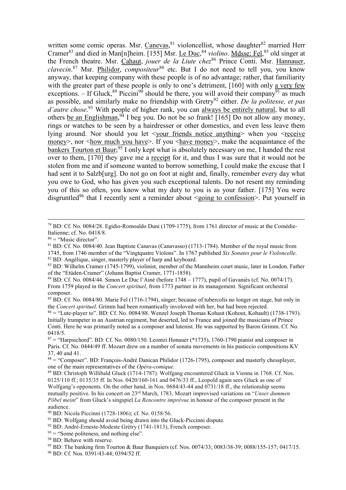written some comic operas. Msr. Canevas,  $81$  violoncellist, whose daughter  $82$  married Herr Cramer<sup>83</sup> and died in Man[n]heim. [155] Msr. Le Duc, <sup>84</sup> *violino*. Mdsse: Fel, <sup>85</sup> old singer at the French theatre. Msr. Cahaut, *jouer de la Liute chez*<sup>86</sup> Prince Conti. Msr. Hannauer, *clavecin*. <sup>87</sup> Msr. Philidor, *compositeur*<sup>88</sup> etc. But I do not need to tell you, you know anyway, that keeping company with these people is of no advantage; rather, that familiarity with the greater part of these people is only to one's detriment, [160] with only a very few exceptions. – If Gluck,<sup>89</sup> Piccini<sup>90</sup> should be there, you will avoid their company<sup>91</sup> as much as possible, and similarly make no friendship with Gretry<sup>92</sup> either. *De la politesse, et pas d'autre chose*. <sup>93</sup> With people of higher rank, you can always be entirely natural, but to all others be an Englishman,  $94$  I beg you. Do not be so frank! [165] Do not allow any money, rings or watches to be seen by a hairdresser or other domestics, and even less leave them lying around. Nor should you let <your friends notice anything> when you <receive money>, nor <how much you have>. If you <have money>, make the acquaintance of the bankers Tourton et Baur;<sup>95</sup> I only kept what is absolutely necessary on me, I handed the rest over to them, [170] they gave me a receipt for it, and thus I was sure that it would not be stolen from me and if someone wanted to borrow something, I could make the excuse that I had sent it to Salzb[urg]. Do not go on foot at night and, finally, remember every day what you owe to God, who has given you such exceptional talents. Do not resent my reminding you of this so often, you know what my duty to you is as your father. [175] You were disgruntled<sup>96</sup> that I recently sent a reminder about  $\leq$  going to confession $\geq$ . Put yourself in

 $\overline{a}$ 

<sup>81</sup> BD: Cf. No. 0084/40. Jean Baptiste Canavas (Canavasso) (1713-1784). Member of the royal music from 1745, from 1746 member of the "Vingtquatre Violons". In 1767 published *Six Sonates pour le Violoncelle*.

<sup>82</sup> BD: Angélique, singer, masterly player of harp and keyboard.

 $93 =$  "Some politeness, and nothing else".

96 BD: Cf. Nos. 0391/43-44; 0394/52 ff.

<sup>79</sup> BD: Cf. No. 0084/28. Egidio-Romoaldo Duni (1709-1775), from 1761 director of music at the Comédie-Italienne; cf. No. 0418/8.

 $80 =$  "Music director".

<sup>83</sup> BD: Wilhelm Cramer (1745-1799), violinist, member of the Mannheim court music, later in London. Father of the "Etüden-Cramer" (Johann Baptist Cramer, 1771-1858).

<sup>84</sup> BD: Cf. No. 0084/44. Simon Le Duc l'Ainé (before 1748 – 1777), pupil of Gavaniès (cf. No. 0074/17). From 1759 played in the *Concert spirituel*, from 1773 partner in its management. Significant orchestral composer.

<sup>85</sup> BD: Cf. No. 0084/80. Marie Fel (1716-1794), singer; because of tubercolis no longer on stage, but only in the *Concert spirituel*. Grimm had been romantically involoved with her, but had been rejected.

<sup>86</sup> = "Lute-player to". BD: Cf. No. 0084/88. Wenzel Joseph Thomas Kohaut (Kohout, Kohault) (1738-1793). Initially trumpeter in an Austrian regiment, but deserted, led to France and joined the musicians of Prince Conti. Here he was primarily noted as a composer and lutenist. He was supported by Baron Grimm. Cf. No. 0418/5.

 $87 =$  "Harpsichord". BD: Cf. No. 0080/150. Leontzi Honauer (\*1735), 1760-1790 pianist and composer in Paris. Cf. No. 0444/49 ff. Mozart drew on a number of sonata movements in his pasticcio compositions KV 37, 40 and 41.

 $88 =$  "Composer". BD: François-André Danican Philidor (1726-1795), composer and masterly chessplayer, one of the main representatives of the *Opéra-comique*.

<sup>89</sup> BD: Christoph Willibald Gluck (1714-1787). Wolfgang encountered Gluck in Vienna in 1768. Cf. Nos. 0125/110 ff.; 0135/35 ff. In Nos. 0420/160-161 and 0476/33 ff., Leopold again sees Gluck as one of Wolfgang's opponents. On the other hand, in Nos. 0684/43-44 and 0731/18 ff., the relationship seems mutually positive. In his concert on 23rd March, 1783, Mozart improvised variations on "*Unser dummen Pöbel meint*" from Gluck's singspiel *La Rencontre imprévue* in honour of the composer present in the audience.

<sup>90</sup> BD: Nicola Piccinni (1728-1806); cf. No. 0158/56.

<sup>&</sup>lt;sup>91</sup> BD: Wolfgang should avoid being drawn into the Gluck-Piccinni dispute.

<sup>&</sup>lt;sup>92</sup> BD: André-Erneste-Modeste Grétry (1741-1813), French composer.

<sup>&</sup>lt;sup>94</sup> BD: Behave with reserve.

<sup>95</sup> BD: The banking firm Tourton & Baur Banquiers (cf. Nos. 0074/33; 0083/38-39; 0088/155-157; 0417/15.